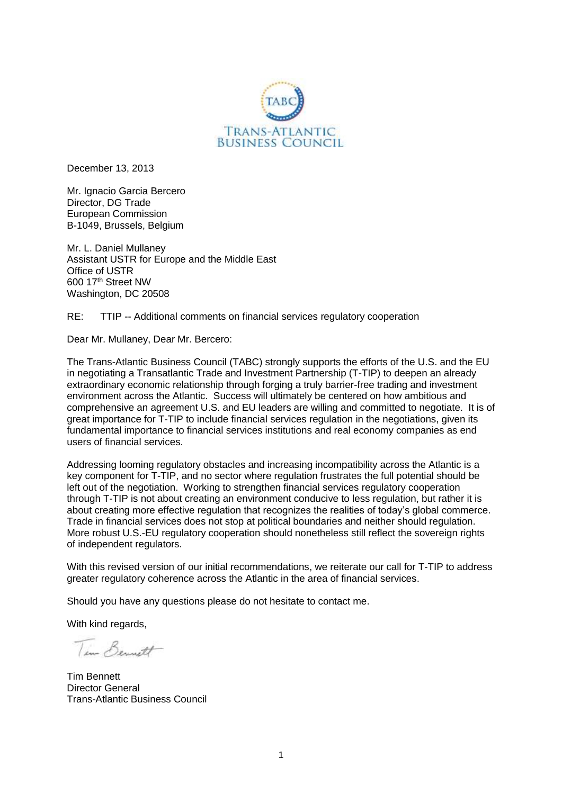

December 13, 2013

Mr. Ignacio Garcia Bercero Director, DG Trade European Commission B-1049, Brussels, Belgium

Mr. L. Daniel Mullaney Assistant USTR for Europe and the Middle East Office of USTR 600 17th Street NW Washington, DC 20508

RE: TTIP -- Additional comments on financial services regulatory cooperation

Dear Mr. Mullaney, Dear Mr. Bercero:

The Trans-Atlantic Business Council (TABC) strongly supports the efforts of the U.S. and the EU in negotiating a Transatlantic Trade and Investment Partnership (T-TIP) to deepen an already extraordinary economic relationship through forging a truly barrier-free trading and investment environment across the Atlantic. Success will ultimately be centered on how ambitious and comprehensive an agreement U.S. and EU leaders are willing and committed to negotiate. It is of great importance for T-TIP to include financial services regulation in the negotiations, given its fundamental importance to financial services institutions and real economy companies as end users of financial services.

Addressing looming regulatory obstacles and increasing incompatibility across the Atlantic is a key component for T-TIP, and no sector where regulation frustrates the full potential should be left out of the negotiation. Working to strengthen financial services regulatory cooperation through T-TIP is not about creating an environment conducive to less regulation, but rather it is about creating more effective regulation that recognizes the realities of today's global commerce. Trade in financial services does not stop at political boundaries and neither should regulation. More robust U.S.-EU regulatory cooperation should nonetheless still reflect the sovereign rights of independent regulators.

With this revised version of our initial recommendations, we reiterate our call for T-TIP to address greater regulatory coherence across the Atlantic in the area of financial services.

Should you have any questions please do not hesitate to contact me.

With kind regards,

Tim Bennett

Tim Bennett Director General Trans-Atlantic Business Council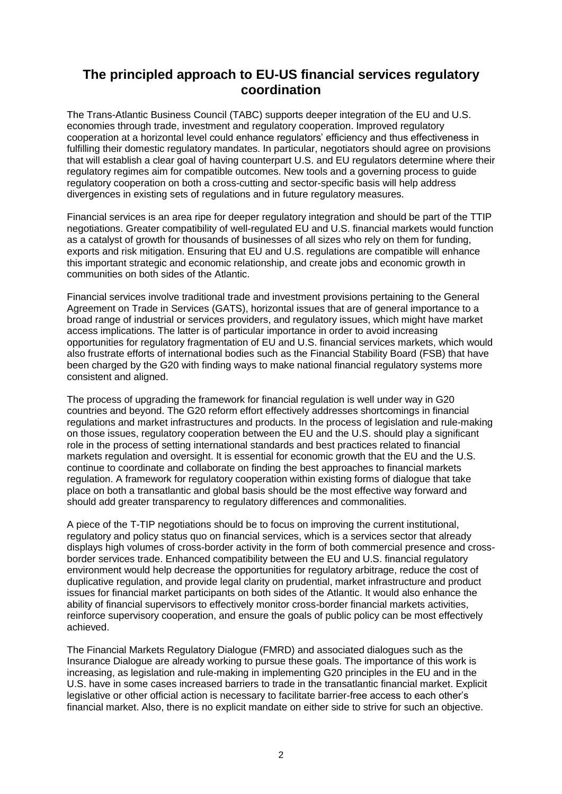# **The principled approach to EU-US financial services regulatory coordination**

The Trans-Atlantic Business Council (TABC) supports deeper integration of the EU and U.S. economies through trade, investment and regulatory cooperation. Improved regulatory cooperation at a horizontal level could enhance regulators' efficiency and thus effectiveness in fulfilling their domestic regulatory mandates. In particular, negotiators should agree on provisions that will establish a clear goal of having counterpart U.S. and EU regulators determine where their regulatory regimes aim for compatible outcomes. New tools and a governing process to guide regulatory cooperation on both a cross-cutting and sector-specific basis will help address divergences in existing sets of regulations and in future regulatory measures.

Financial services is an area ripe for deeper regulatory integration and should be part of the TTIP negotiations. Greater compatibility of well-regulated EU and U.S. financial markets would function as a catalyst of growth for thousands of businesses of all sizes who rely on them for funding, exports and risk mitigation. Ensuring that EU and U.S. regulations are compatible will enhance this important strategic and economic relationship, and create jobs and economic growth in communities on both sides of the Atlantic.

Financial services involve traditional trade and investment provisions pertaining to the General Agreement on Trade in Services (GATS), horizontal issues that are of general importance to a broad range of industrial or services providers, and regulatory issues, which might have market access implications. The latter is of particular importance in order to avoid increasing opportunities for regulatory fragmentation of EU and U.S. financial services markets, which would also frustrate efforts of international bodies such as the Financial Stability Board (FSB) that have been charged by the G20 with finding ways to make national financial regulatory systems more consistent and aligned.

The process of upgrading the framework for financial regulation is well under way in G20 countries and beyond. The G20 reform effort effectively addresses shortcomings in financial regulations and market infrastructures and products. In the process of legislation and rule-making on those issues, regulatory cooperation between the EU and the U.S. should play a significant role in the process of setting international standards and best practices related to financial markets regulation and oversight. It is essential for economic growth that the EU and the U.S. continue to coordinate and collaborate on finding the best approaches to financial markets regulation. A framework for regulatory cooperation within existing forms of dialogue that take place on both a transatlantic and global basis should be the most effective way forward and should add greater transparency to regulatory differences and commonalities.

A piece of the T-TIP negotiations should be to focus on improving the current institutional, regulatory and policy status quo on financial services, which is a services sector that already displays high volumes of cross-border activity in the form of both commercial presence and crossborder services trade. Enhanced compatibility between the EU and U.S. financial regulatory environment would help decrease the opportunities for regulatory arbitrage, reduce the cost of duplicative regulation, and provide legal clarity on prudential, market infrastructure and product issues for financial market participants on both sides of the Atlantic. It would also enhance the ability of financial supervisors to effectively monitor cross-border financial markets activities, reinforce supervisory cooperation, and ensure the goals of public policy can be most effectively achieved.

The Financial Markets Regulatory Dialogue (FMRD) and associated dialogues such as the Insurance Dialogue are already working to pursue these goals. The importance of this work is increasing, as legislation and rule-making in implementing G20 principles in the EU and in the U.S. have in some cases increased barriers to trade in the transatlantic financial market. Explicit legislative or other official action is necessary to facilitate barrier-free access to each other's financial market. Also, there is no explicit mandate on either side to strive for such an objective.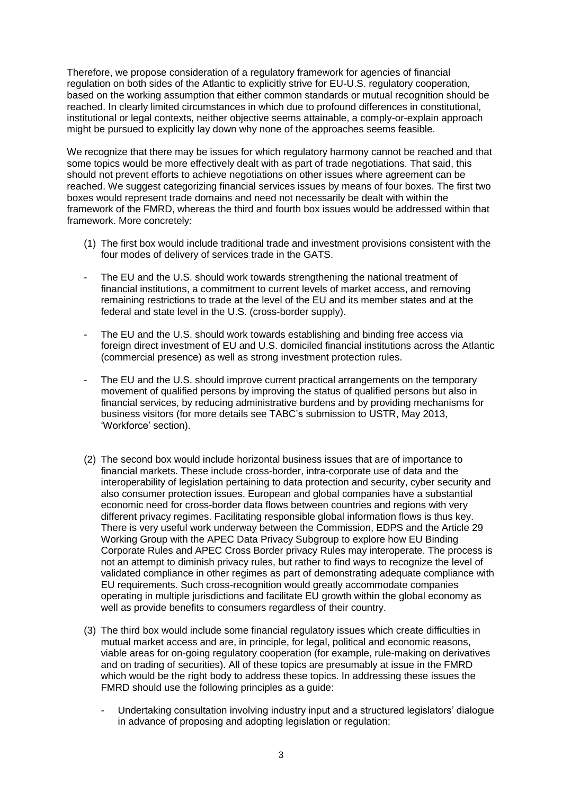Therefore, we propose consideration of a regulatory framework for agencies of financial regulation on both sides of the Atlantic to explicitly strive for EU-U.S. regulatory cooperation, based on the working assumption that either common standards or mutual recognition should be reached. In clearly limited circumstances in which due to profound differences in constitutional, institutional or legal contexts, neither objective seems attainable, a comply-or-explain approach might be pursued to explicitly lay down why none of the approaches seems feasible.

We recognize that there may be issues for which regulatory harmony cannot be reached and that some topics would be more effectively dealt with as part of trade negotiations. That said, this should not prevent efforts to achieve negotiations on other issues where agreement can be reached. We suggest categorizing financial services issues by means of four boxes. The first two boxes would represent trade domains and need not necessarily be dealt with within the framework of the FMRD, whereas the third and fourth box issues would be addressed within that framework. More concretely:

- (1) The first box would include traditional trade and investment provisions consistent with the four modes of delivery of services trade in the GATS.
- The EU and the U.S. should work towards strengthening the national treatment of financial institutions, a commitment to current levels of market access, and removing remaining restrictions to trade at the level of the EU and its member states and at the federal and state level in the U.S. (cross-border supply).
- The EU and the U.S. should work towards establishing and binding free access via foreign direct investment of EU and U.S. domiciled financial institutions across the Atlantic (commercial presence) as well as strong investment protection rules.
- The EU and the U.S. should improve current practical arrangements on the temporary movement of qualified persons by improving the status of qualified persons but also in financial services, by reducing administrative burdens and by providing mechanisms for business visitors (for more details see TABC's submission to USTR, May 2013, 'Workforce' section).
- (2) The second box would include horizontal business issues that are of importance to financial markets. These include cross-border, intra-corporate use of data and the interoperability of legislation pertaining to data protection and security, cyber security and also consumer protection issues. European and global companies have a substantial economic need for cross-border data flows between countries and regions with very different privacy regimes. Facilitating responsible global information flows is thus key. There is very useful work underway between the Commission, EDPS and the Article 29 Working Group with the APEC Data Privacy Subgroup to explore how EU Binding Corporate Rules and APEC Cross Border privacy Rules may interoperate. The process is not an attempt to diminish privacy rules, but rather to find ways to recognize the level of validated compliance in other regimes as part of demonstrating adequate compliance with EU requirements. Such cross-recognition would greatly accommodate companies operating in multiple jurisdictions and facilitate EU growth within the global economy as well as provide benefits to consumers regardless of their country.
- (3) The third box would include some financial regulatory issues which create difficulties in mutual market access and are, in principle, for legal, political and economic reasons, viable areas for on-going regulatory cooperation (for example, rule-making on derivatives and on trading of securities). All of these topics are presumably at issue in the FMRD which would be the right body to address these topics. In addressing these issues the FMRD should use the following principles as a guide:
	- Undertaking consultation involving industry input and a structured legislators' dialogue in advance of proposing and adopting legislation or regulation;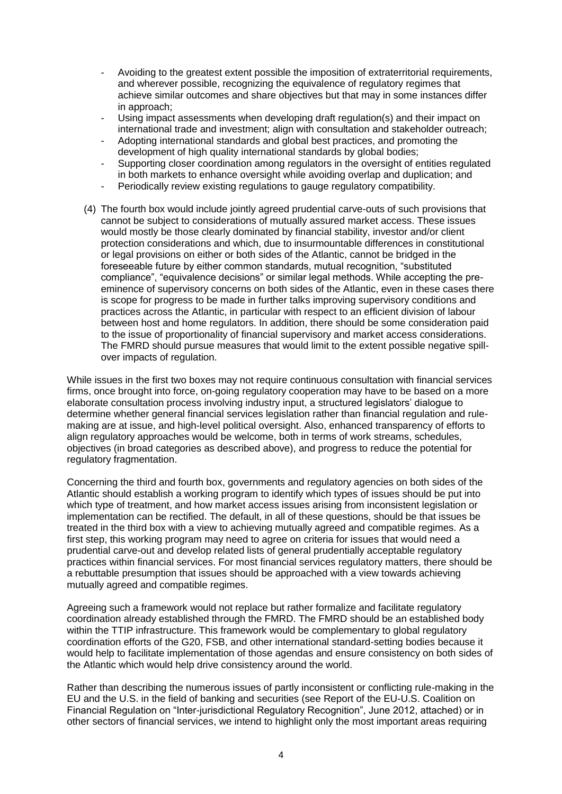- Avoiding to the greatest extent possible the imposition of extraterritorial requirements, and wherever possible, recognizing the equivalence of regulatory regimes that achieve similar outcomes and share objectives but that may in some instances differ in approach;
- Using impact assessments when developing draft regulation(s) and their impact on international trade and investment; align with consultation and stakeholder outreach;
- Adopting international standards and global best practices, and promoting the development of high quality international standards by global bodies;
- Supporting closer coordination among regulators in the oversight of entities regulated in both markets to enhance oversight while avoiding overlap and duplication; and
- Periodically review existing regulations to gauge regulatory compatibility.
- (4) The fourth box would include jointly agreed prudential carve-outs of such provisions that cannot be subject to considerations of mutually assured market access. These issues would mostly be those clearly dominated by financial stability, investor and/or client protection considerations and which, due to insurmountable differences in constitutional or legal provisions on either or both sides of the Atlantic, cannot be bridged in the foreseeable future by either common standards, mutual recognition, "substituted compliance", "equivalence decisions" or similar legal methods. While accepting the preeminence of supervisory concerns on both sides of the Atlantic, even in these cases there is scope for progress to be made in further talks improving supervisory conditions and practices across the Atlantic, in particular with respect to an efficient division of labour between host and home regulators. In addition, there should be some consideration paid to the issue of proportionality of financial supervisory and market access considerations. The FMRD should pursue measures that would limit to the extent possible negative spillover impacts of regulation.

While issues in the first two boxes may not require continuous consultation with financial services firms, once brought into force, on-going regulatory cooperation may have to be based on a more elaborate consultation process involving industry input, a structured legislators' dialogue to determine whether general financial services legislation rather than financial regulation and rulemaking are at issue, and high-level political oversight. Also, enhanced transparency of efforts to align regulatory approaches would be welcome, both in terms of work streams, schedules, objectives (in broad categories as described above), and progress to reduce the potential for regulatory fragmentation.

Concerning the third and fourth box, governments and regulatory agencies on both sides of the Atlantic should establish a working program to identify which types of issues should be put into which type of treatment, and how market access issues arising from inconsistent legislation or implementation can be rectified. The default, in all of these questions, should be that issues be treated in the third box with a view to achieving mutually agreed and compatible regimes. As a first step, this working program may need to agree on criteria for issues that would need a prudential carve-out and develop related lists of general prudentially acceptable regulatory practices within financial services. For most financial services regulatory matters, there should be a rebuttable presumption that issues should be approached with a view towards achieving mutually agreed and compatible regimes.

Agreeing such a framework would not replace but rather formalize and facilitate regulatory coordination already established through the FMRD. The FMRD should be an established body within the TTIP infrastructure. This framework would be complementary to global regulatory coordination efforts of the G20, FSB, and other international standard-setting bodies because it would help to facilitate implementation of those agendas and ensure consistency on both sides of the Atlantic which would help drive consistency around the world.

Rather than describing the numerous issues of partly inconsistent or conflicting rule-making in the EU and the U.S. in the field of banking and securities (see Report of the EU-U.S. Coalition on Financial Regulation on "Inter-jurisdictional Regulatory Recognition", June 2012, attached) or in other sectors of financial services, we intend to highlight only the most important areas requiring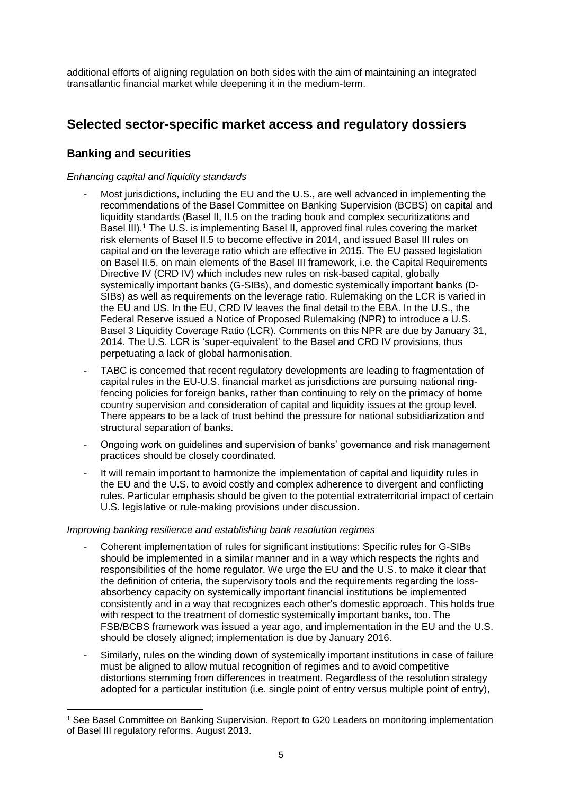additional efforts of aligning regulation on both sides with the aim of maintaining an integrated transatlantic financial market while deepening it in the medium-term.

# **Selected sector-specific market access and regulatory dossiers**

## **Banking and securities**

 $\overline{a}$ 

### *Enhancing capital and liquidity standards*

- Most jurisdictions, including the EU and the U.S., are well advanced in implementing the recommendations of the Basel Committee on Banking Supervision (BCBS) on capital and liquidity standards (Basel II, II.5 on the trading book and complex securitizations and Basel III).<sup>1</sup> The U.S. is implementing Basel II, approved final rules covering the market risk elements of Basel II.5 to become effective in 2014, and issued Basel III rules on capital and on the leverage ratio which are effective in 2015. The EU passed legislation on Basel II.5, on main elements of the Basel III framework, i.e. the Capital Requirements Directive IV (CRD IV) which includes new rules on risk-based capital, globally systemically important banks (G-SIBs), and domestic systemically important banks (D-SIBs) as well as requirements on the leverage ratio. Rulemaking on the LCR is varied in the EU and US. In the EU, CRD IV leaves the final detail to the EBA. In the U.S., the Federal Reserve issued a Notice of Proposed Rulemaking (NPR) to introduce a U.S. Basel 3 Liquidity Coverage Ratio (LCR). Comments on this NPR are due by January 31, 2014. The U.S. LCR is 'super-equivalent' to the Basel and CRD IV provisions, thus perpetuating a lack of global harmonisation.
- TABC is concerned that recent regulatory developments are leading to fragmentation of capital rules in the EU-U.S. financial market as jurisdictions are pursuing national ringfencing policies for foreign banks, rather than continuing to rely on the primacy of home country supervision and consideration of capital and liquidity issues at the group level. There appears to be a lack of trust behind the pressure for national subsidiarization and structural separation of banks.
- Ongoing work on guidelines and supervision of banks' governance and risk management practices should be closely coordinated.
- It will remain important to harmonize the implementation of capital and liquidity rules in the EU and the U.S. to avoid costly and complex adherence to divergent and conflicting rules. Particular emphasis should be given to the potential extraterritorial impact of certain U.S. legislative or rule-making provisions under discussion.

#### *Improving banking resilience and establishing bank resolution regimes*

- Coherent implementation of rules for significant institutions: Specific rules for G-SIBs should be implemented in a similar manner and in a way which respects the rights and responsibilities of the home regulator. We urge the EU and the U.S. to make it clear that the definition of criteria, the supervisory tools and the requirements regarding the lossabsorbency capacity on systemically important financial institutions be implemented consistently and in a way that recognizes each other's domestic approach. This holds true with respect to the treatment of domestic systemically important banks, too. The FSB/BCBS framework was issued a year ago, and implementation in the EU and the U.S. should be closely aligned; implementation is due by January 2016.
- Similarly, rules on the winding down of systemically important institutions in case of failure must be aligned to allow mutual recognition of regimes and to avoid competitive distortions stemming from differences in treatment. Regardless of the resolution strategy adopted for a particular institution (i.e. single point of entry versus multiple point of entry),

<sup>1</sup> See Basel Committee on Banking Supervision. Report to G20 Leaders on monitoring implementation of Basel III regulatory reforms. August 2013.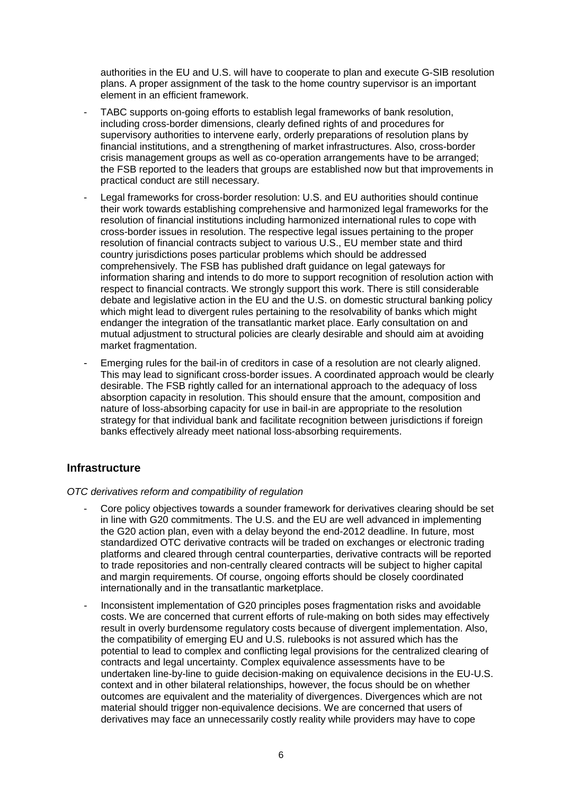authorities in the EU and U.S. will have to cooperate to plan and execute G-SIB resolution plans. A proper assignment of the task to the home country supervisor is an important element in an efficient framework.

- TABC supports on-going efforts to establish legal frameworks of bank resolution, including cross-border dimensions, clearly defined rights of and procedures for supervisory authorities to intervene early, orderly preparations of resolution plans by financial institutions, and a strengthening of market infrastructures. Also, cross-border crisis management groups as well as co-operation arrangements have to be arranged; the FSB reported to the leaders that groups are established now but that improvements in practical conduct are still necessary.
- Legal frameworks for cross-border resolution: U.S. and EU authorities should continue their work towards establishing comprehensive and harmonized legal frameworks for the resolution of financial institutions including harmonized international rules to cope with cross-border issues in resolution. The respective legal issues pertaining to the proper resolution of financial contracts subject to various U.S., EU member state and third country jurisdictions poses particular problems which should be addressed comprehensively. The FSB has published draft guidance on legal gateways for information sharing and intends to do more to support recognition of resolution action with respect to financial contracts. We strongly support this work. There is still considerable debate and legislative action in the EU and the U.S. on domestic structural banking policy which might lead to divergent rules pertaining to the resolvability of banks which might endanger the integration of the transatlantic market place. Early consultation on and mutual adjustment to structural policies are clearly desirable and should aim at avoiding market fragmentation.
- Emerging rules for the bail-in of creditors in case of a resolution are not clearly aligned. This may lead to significant cross-border issues. A coordinated approach would be clearly desirable. The FSB rightly called for an international approach to the adequacy of loss absorption capacity in resolution. This should ensure that the amount, composition and nature of loss-absorbing capacity for use in bail-in are appropriate to the resolution strategy for that individual bank and facilitate recognition between jurisdictions if foreign banks effectively already meet national loss-absorbing requirements.

### **Infrastructure**

#### *OTC derivatives reform and compatibility of regulation*

- Core policy objectives towards a sounder framework for derivatives clearing should be set in line with G20 commitments. The U.S. and the EU are well advanced in implementing the G20 action plan, even with a delay beyond the end-2012 deadline. In future, most standardized OTC derivative contracts will be traded on exchanges or electronic trading platforms and cleared through central counterparties, derivative contracts will be reported to trade repositories and non-centrally cleared contracts will be subject to higher capital and margin requirements. Of course, ongoing efforts should be closely coordinated internationally and in the transatlantic marketplace.
- Inconsistent implementation of G20 principles poses fragmentation risks and avoidable costs. We are concerned that current efforts of rule-making on both sides may effectively result in overly burdensome regulatory costs because of divergent implementation. Also, the compatibility of emerging EU and U.S. rulebooks is not assured which has the potential to lead to complex and conflicting legal provisions for the centralized clearing of contracts and legal uncertainty. Complex equivalence assessments have to be undertaken line-by-line to guide decision-making on equivalence decisions in the EU-U.S. context and in other bilateral relationships, however, the focus should be on whether outcomes are equivalent and the materiality of divergences. Divergences which are not material should trigger non-equivalence decisions. We are concerned that users of derivatives may face an unnecessarily costly reality while providers may have to cope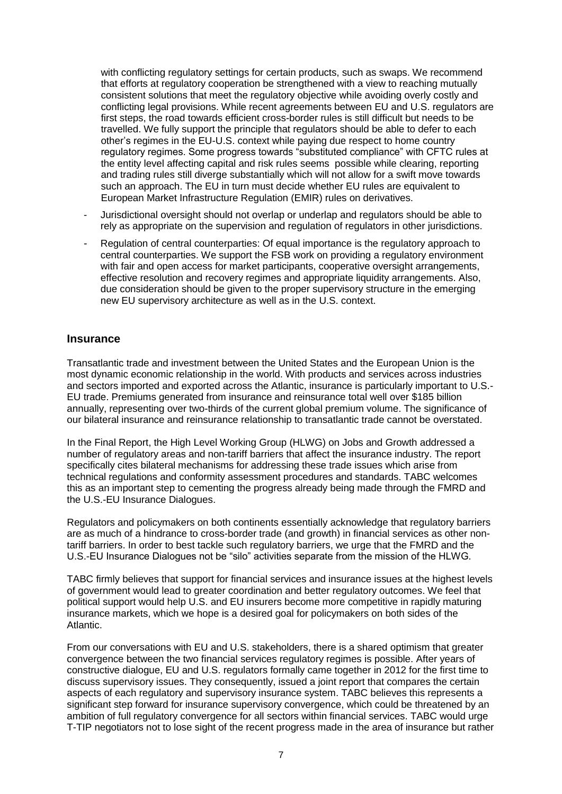with conflicting regulatory settings for certain products, such as swaps. We recommend that efforts at regulatory cooperation be strengthened with a view to reaching mutually consistent solutions that meet the regulatory objective while avoiding overly costly and conflicting legal provisions. While recent agreements between EU and U.S. regulators are first steps, the road towards efficient cross-border rules is still difficult but needs to be travelled. We fully support the principle that regulators should be able to defer to each other's regimes in the EU-U.S. context while paying due respect to home country regulatory regimes. Some progress towards "substituted compliance" with CFTC rules at the entity level affecting capital and risk rules seems possible while clearing, reporting and trading rules still diverge substantially which will not allow for a swift move towards such an approach. The EU in turn must decide whether EU rules are equivalent to European Market Infrastructure Regulation (EMIR) rules on derivatives.

- Jurisdictional oversight should not overlap or underlap and regulators should be able to rely as appropriate on the supervision and regulation of regulators in other jurisdictions.
- Regulation of central counterparties: Of equal importance is the regulatory approach to central counterparties. We support the FSB work on providing a regulatory environment with fair and open access for market participants, cooperative oversight arrangements, effective resolution and recovery regimes and appropriate liquidity arrangements. Also, due consideration should be given to the proper supervisory structure in the emerging new EU supervisory architecture as well as in the U.S. context.

### **Insurance**

Transatlantic trade and investment between the United States and the European Union is the most dynamic economic relationship in the world. With products and services across industries and sectors imported and exported across the Atlantic, insurance is particularly important to U.S.- EU trade. Premiums generated from insurance and reinsurance total well over \$185 billion annually, representing over two-thirds of the current global premium volume. The significance of our bilateral insurance and reinsurance relationship to transatlantic trade cannot be overstated.

In the Final Report, the High Level Working Group (HLWG) on Jobs and Growth addressed a number of regulatory areas and non-tariff barriers that affect the insurance industry. The report specifically cites bilateral mechanisms for addressing these trade issues which arise from technical regulations and conformity assessment procedures and standards. TABC welcomes this as an important step to cementing the progress already being made through the FMRD and the U.S.-EU Insurance Dialogues.

Regulators and policymakers on both continents essentially acknowledge that regulatory barriers are as much of a hindrance to cross-border trade (and growth) in financial services as other nontariff barriers. In order to best tackle such regulatory barriers, we urge that the FMRD and the U.S.-EU Insurance Dialogues not be "silo" activities separate from the mission of the HLWG.

TABC firmly believes that support for financial services and insurance issues at the highest levels of government would lead to greater coordination and better regulatory outcomes. We feel that political support would help U.S. and EU insurers become more competitive in rapidly maturing insurance markets, which we hope is a desired goal for policymakers on both sides of the Atlantic.

From our conversations with EU and U.S. stakeholders, there is a shared optimism that greater convergence between the two financial services regulatory regimes is possible. After years of constructive dialogue, EU and U.S. regulators formally came together in 2012 for the first time to discuss supervisory issues. They consequently, issued a joint report that compares the certain aspects of each regulatory and supervisory insurance system. TABC believes this represents a significant step forward for insurance supervisory convergence, which could be threatened by an ambition of full regulatory convergence for all sectors within financial services. TABC would urge T-TIP negotiators not to lose sight of the recent progress made in the area of insurance but rather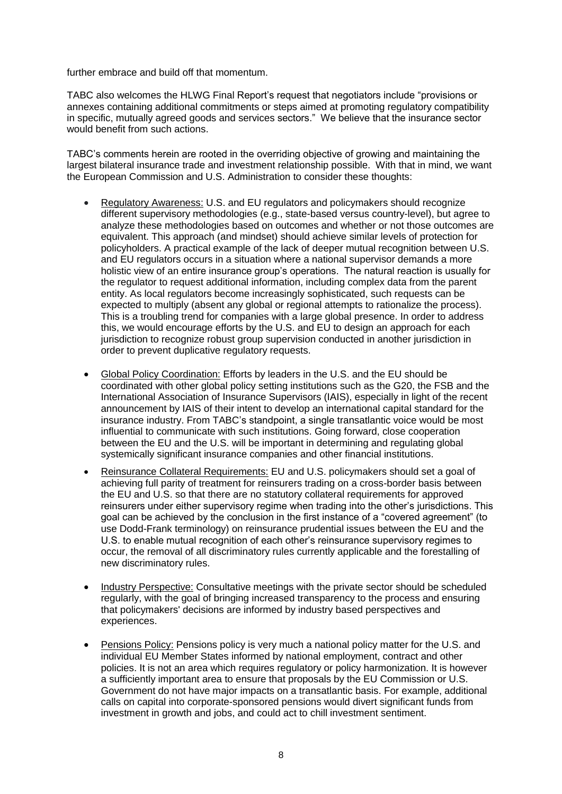further embrace and build off that momentum.

TABC also welcomes the HLWG Final Report's request that negotiators include "provisions or annexes containing additional commitments or steps aimed at promoting regulatory compatibility in specific, mutually agreed goods and services sectors." We believe that the insurance sector would benefit from such actions.

TABC's comments herein are rooted in the overriding objective of growing and maintaining the largest bilateral insurance trade and investment relationship possible. With that in mind, we want the European Commission and U.S. Administration to consider these thoughts:

- Regulatory Awareness: U.S. and EU regulators and policymakers should recognize different supervisory methodologies (e.g., state-based versus country-level), but agree to analyze these methodologies based on outcomes and whether or not those outcomes are equivalent. This approach (and mindset) should achieve similar levels of protection for policyholders. A practical example of the lack of deeper mutual recognition between U.S. and EU regulators occurs in a situation where a national supervisor demands a more holistic view of an entire insurance group's operations. The natural reaction is usually for the regulator to request additional information, including complex data from the parent entity. As local regulators become increasingly sophisticated, such requests can be expected to multiply (absent any global or regional attempts to rationalize the process). This is a troubling trend for companies with a large global presence. In order to address this, we would encourage efforts by the U.S. and EU to design an approach for each jurisdiction to recognize robust group supervision conducted in another jurisdiction in order to prevent duplicative regulatory requests.
- Global Policy Coordination: Efforts by leaders in the U.S. and the EU should be coordinated with other global policy setting institutions such as the G20, the FSB and the International Association of Insurance Supervisors (IAIS), especially in light of the recent announcement by IAIS of their intent to develop an international capital standard for the insurance industry. From TABC's standpoint, a single transatlantic voice would be most influential to communicate with such institutions. Going forward, close cooperation between the EU and the U.S. will be important in determining and regulating global systemically significant insurance companies and other financial institutions.
- Reinsurance Collateral Requirements: EU and U.S. policymakers should set a goal of achieving full parity of treatment for reinsurers trading on a cross-border basis between the EU and U.S. so that there are no statutory collateral requirements for approved reinsurers under either supervisory regime when trading into the other's jurisdictions. This goal can be achieved by the conclusion in the first instance of a "covered agreement" (to use Dodd-Frank terminology) on reinsurance prudential issues between the EU and the U.S. to enable mutual recognition of each other's reinsurance supervisory regimes to occur, the removal of all discriminatory rules currently applicable and the forestalling of new discriminatory rules.
- Industry Perspective: Consultative meetings with the private sector should be scheduled regularly, with the goal of bringing increased transparency to the process and ensuring that policymakers' decisions are informed by industry based perspectives and experiences.
- Pensions Policy: Pensions policy is very much a national policy matter for the U.S. and individual EU Member States informed by national employment, contract and other policies. It is not an area which requires regulatory or policy harmonization. It is however a sufficiently important area to ensure that proposals by the EU Commission or U.S. Government do not have major impacts on a transatlantic basis. For example, additional calls on capital into corporate-sponsored pensions would divert significant funds from investment in growth and jobs, and could act to chill investment sentiment.